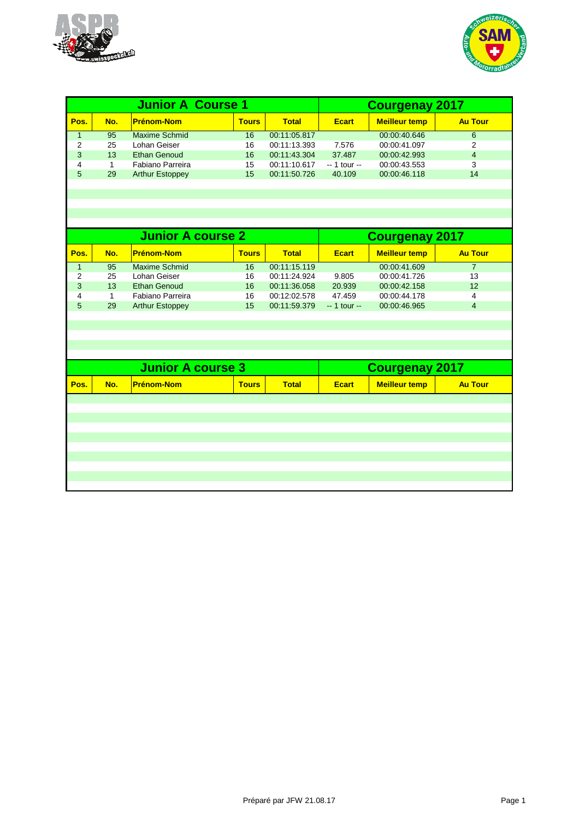



| <b>Junior A Course 1</b> |                 |                          |              | <b>Courgenay 2017</b> |               |                       |                |  |  |
|--------------------------|-----------------|--------------------------|--------------|-----------------------|---------------|-----------------------|----------------|--|--|
| Pos.                     | No.             | <b>Prénom-Nom</b>        | <b>Tours</b> | <b>Total</b>          | <b>Ecart</b>  | <b>Meilleur temp</b>  | <b>Au Tour</b> |  |  |
| $\mathbf{1}$             | 95              | <b>Maxime Schmid</b>     | 16           | 00:11:05.817          |               | 00:00:40.646          | 6              |  |  |
| $\overline{2}$           | 25              | Lohan Geiser             | 16           | 00:11:13.393          | 7.576         | 00:00:41.097          | 2              |  |  |
| 3                        | 13              | <b>Ethan Genoud</b>      | 16           | 00:11:43.304          | 37.487        | 00:00:42.993          | $\overline{4}$ |  |  |
| $\overline{4}$           | $\mathbf{1}$    | Fabiano Parreira         | 15           | 00:11:10.617          | $-1$ tour $-$ | 00:00:43.553          | 3              |  |  |
| 5                        | 29              | <b>Arthur Estoppey</b>   | 15           | 00:11:50.726          | 40.109        | 00:00:46.118          | 14             |  |  |
|                          |                 |                          |              |                       |               |                       |                |  |  |
|                          |                 |                          |              |                       |               |                       |                |  |  |
|                          |                 |                          |              |                       |               |                       |                |  |  |
|                          |                 |                          |              |                       |               |                       |                |  |  |
|                          |                 |                          |              |                       |               |                       |                |  |  |
|                          |                 | <b>Junior A course 2</b> |              |                       |               | <b>Courgenay 2017</b> |                |  |  |
| Pos.                     | No.             | <b>Prénom-Nom</b>        | <b>Tours</b> | <b>Total</b>          | <b>Ecart</b>  | <b>Meilleur temp</b>  | <b>Au Tour</b> |  |  |
| $\mathbf{1}$             | $\overline{95}$ | <b>Maxime Schmid</b>     | 16           | 00:11:15.119          |               | 00:00:41.609          | $\overline{7}$ |  |  |
| $\overline{2}$           | 25              | Lohan Geiser             | 16           | 00:11:24.924          | 9.805         | 00:00:41.726          | 13             |  |  |
| 3                        | 13              | <b>Ethan Genoud</b>      | 16           | 00:11:36.058          | 20.939        | 00:00:42.158          | 12             |  |  |
| 4                        | 1               | Fabiano Parreira         | 16           | 00:12:02.578          | 47.459        | 00:00:44.178          | 4              |  |  |
| 5                        | 29              | <b>Arthur Estoppey</b>   | 15           | 00:11:59.379          | $-1$ tour $-$ | 00:00:46.965          | $\overline{4}$ |  |  |
|                          |                 |                          |              |                       |               |                       |                |  |  |
|                          |                 |                          |              |                       |               |                       |                |  |  |
|                          |                 |                          |              |                       |               |                       |                |  |  |
|                          |                 |                          |              |                       |               |                       |                |  |  |
|                          |                 |                          |              |                       |               |                       |                |  |  |
|                          |                 | <b>Junior A course 3</b> |              |                       |               | <b>Courgenay 2017</b> |                |  |  |
| Pos.                     | No.             | <b>Prénom-Nom</b>        | <b>Tours</b> | <b>Total</b>          | <b>Ecart</b>  | <b>Meilleur temp</b>  | <b>Au Tour</b> |  |  |
|                          |                 |                          |              |                       |               |                       |                |  |  |
|                          |                 |                          |              |                       |               |                       |                |  |  |
|                          |                 |                          |              |                       |               |                       |                |  |  |
|                          |                 |                          |              |                       |               |                       |                |  |  |
|                          |                 |                          |              |                       |               |                       |                |  |  |
|                          |                 |                          |              |                       |               |                       |                |  |  |
|                          |                 |                          |              |                       |               |                       |                |  |  |
|                          |                 |                          |              |                       |               |                       |                |  |  |
|                          |                 |                          |              |                       |               |                       |                |  |  |
|                          |                 |                          |              |                       |               |                       |                |  |  |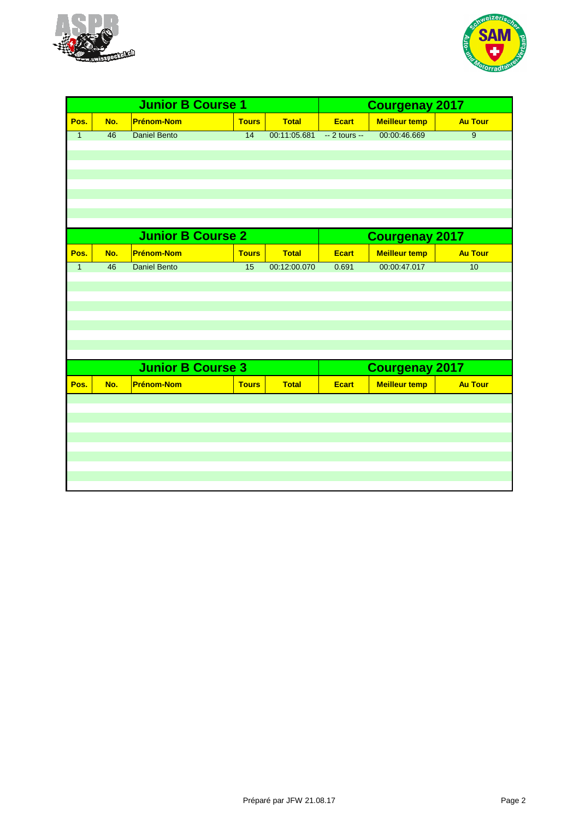



| <b>Junior B Course 1</b> |     |                          |                 |              | <b>Courgenay 2017</b> |                       |                |
|--------------------------|-----|--------------------------|-----------------|--------------|-----------------------|-----------------------|----------------|
| Pos.                     | No. | <b>Prénom-Nom</b>        | <b>Tours</b>    | <b>Total</b> | <b>Ecart</b>          | <b>Meilleur temp</b>  | <b>Au Tour</b> |
| $\mathbf{1}$             | 46  | <b>Daniel Bento</b>      | $\overline{14}$ | 00:11:05.681 | $-2$ tours $-$        | 00:00:46.669          | $\overline{9}$ |
|                          |     |                          |                 |              |                       |                       |                |
|                          |     |                          |                 |              |                       |                       |                |
|                          |     |                          |                 |              |                       |                       |                |
|                          |     |                          |                 |              |                       |                       |                |
|                          |     |                          |                 |              |                       |                       |                |
|                          |     |                          |                 |              |                       |                       |                |
|                          |     | <b>Junior B Course 2</b> |                 |              |                       | <b>Courgenay 2017</b> |                |
| Pos.                     | No. | <b>Prénom-Nom</b>        | <b>Tours</b>    | <b>Total</b> | <b>Ecart</b>          | <b>Meilleur temp</b>  | <b>Au Tour</b> |
| $\mathbf{1}$             | 46  | <b>Daniel Bento</b>      | $\overline{15}$ | 00:12:00.070 | 0.691                 | 00:00:47.017          | 10             |
|                          |     |                          |                 |              |                       |                       |                |
|                          |     |                          |                 |              |                       |                       |                |
|                          |     |                          |                 |              |                       |                       |                |
|                          |     |                          |                 |              |                       |                       |                |
|                          |     |                          |                 |              |                       |                       |                |
|                          |     |                          |                 |              |                       |                       |                |
|                          |     | <b>Junior B Course 3</b> |                 |              |                       | <b>Courgenay 2017</b> |                |
| Pos.                     | No. | <b>Prénom-Nom</b>        | <b>Tours</b>    | <b>Total</b> | <b>Ecart</b>          | <b>Meilleur temp</b>  | <b>Au Tour</b> |
|                          |     |                          |                 |              |                       |                       |                |
|                          |     |                          |                 |              |                       |                       |                |
|                          |     |                          |                 |              |                       |                       |                |
|                          |     |                          |                 |              |                       |                       |                |
|                          |     |                          |                 |              |                       |                       |                |
|                          |     |                          |                 |              |                       |                       |                |
|                          |     |                          |                 |              |                       |                       |                |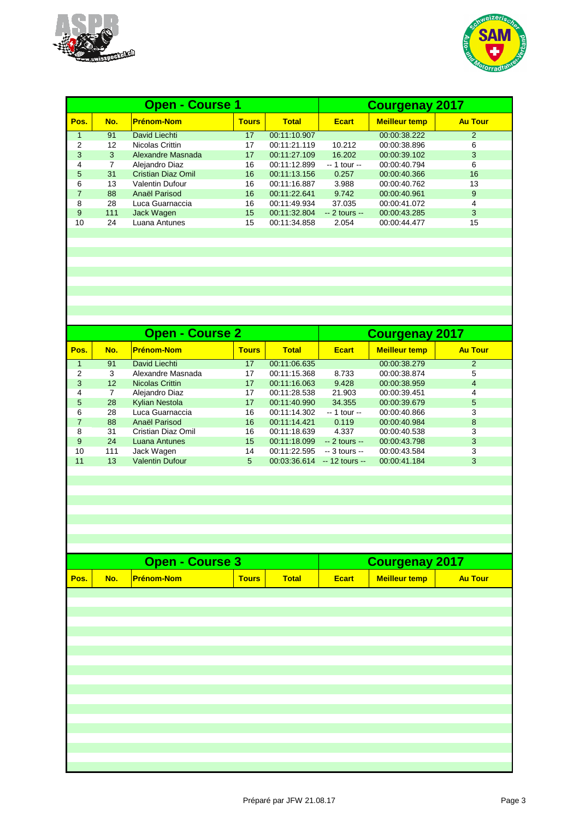



|      |     | <b>Open - Course 1</b>    | <b>Courgenay 2017</b> |              |                |                      |                |
|------|-----|---------------------------|-----------------------|--------------|----------------|----------------------|----------------|
| Pos. | No. | <b>Prénom-Nom</b>         | <b>Tours</b>          | <b>Total</b> | <b>Ecart</b>   | <b>Meilleur temp</b> | <b>Au Tour</b> |
|      | 91  | David Liechti             | 17                    | 00:11:10.907 |                | 00:00:38.222         | 2              |
| 2    | 12  | Nicolas Crittin           | 17                    | 00:11:21.119 | 10.212         | 00:00:38.896         | 6              |
| 3    | 3   | Alexandre Masnada         | 17                    | 00:11:27.109 | 16.202         | 00:00:39.102         | 3              |
| 4    | 7   | Alejandro Diaz            | 16                    | 00:11:12.899 | $-1$ tour $-$  | 00:00:40.794         | 6              |
| 5    | 31  | <b>Cristian Diaz Omil</b> | 16                    | 00:11:13.156 | 0.257          | 00:00:40.366         | 16             |
| 6    | 13  | <b>Valentin Dufour</b>    | 16                    | 00:11:16.887 | 3.988          | 00:00:40.762         | 13             |
| 7    | 88  | Anaël Parisod             | 16                    | 00:11:22.641 | 9.742          | 00:00:40.961         | 9              |
| 8    | 28  | Luca Guarnaccia           | 16                    | 00:11:49.934 | 37.035         | 00:00:41.072         | 4              |
| 9    | 111 | Jack Wagen                | 15                    | 00:11:32.804 | $-2$ tours $-$ | 00:00:43.285         | 3              |
| 10   | 24  | Luana Antunes             | 15                    | 00:11:34.858 | 2.054          | 00:00:44.477         | 15             |
|      |     |                           |                       |              |                |                      |                |

|      |     | <b>Open - Course 2</b> | <b>Courgenay 2017</b> |              |                 |                      |                |
|------|-----|------------------------|-----------------------|--------------|-----------------|----------------------|----------------|
| Pos. | No. | <b>Prénom-Nom</b>      | <b>Tours</b>          | <b>Total</b> | <b>Ecart</b>    | <b>Meilleur temp</b> | <b>Au Tour</b> |
|      | 91  | David Liechti          | 17                    | 00:11:06.635 |                 | 00:00:38.279         | 2              |
| 2    | 3   | Alexandre Masnada      | 17                    | 00:11:15.368 | 8.733           | 00:00:38.874         | 5              |
| 3    | 12  | Nicolas Crittin        | 17                    | 00:11:16.063 | 9.428           | 00:00:38.959         | 4              |
| 4    | 7   | Alejandro Diaz         | 17                    | 00:11:28.538 | 21.903          | 00:00:39.451         | 4              |
| 5    | 28  | <b>Kylian Nestola</b>  | 17                    | 00:11:40.990 | 34.355          | 00:00:39.679         | 5              |
| 6    | 28  | Luca Guarnaccia        | 16                    | 00:11:14.302 | $-1$ tour $-$   | 00:00:40.866         | 3              |
|      | 88  | Anaël Parisod          | 16                    | 00:11:14.421 | 0.119           | 00:00:40.984         | 8              |
| 8    | 31  | Cristian Diaz Omil     | 16                    | 00:11:18.639 | 4.337           | 00:00:40.538         | 3              |
| 9    | 24  | Luana Antunes          | 15                    | 00:11:18.099 | $-2$ tours $-$  | 00:00:43.798         | 3              |
| 10   | 111 | Jack Wagen             | 14                    | 00:11:22.595 | $-3$ tours $-$  | 00:00:43.584         | 3              |
| 11   | 13  | <b>Valentin Dufour</b> | 5                     | 00:03:36.614 | $-12$ tours $-$ | 00:00:41.184         | 3              |
|      |     |                        |                       |              |                 |                      |                |

|      | <b>Open - Course 3</b> |                   |              |              |       | <b>Courgenay 2017</b> |                |  |  |
|------|------------------------|-------------------|--------------|--------------|-------|-----------------------|----------------|--|--|
| Pos. | No.                    | <b>Prénom-Nom</b> | <b>Tours</b> | <b>Total</b> | Ecart | <b>Meilleur temp</b>  | <b>Au Tour</b> |  |  |
|      |                        |                   |              |              |       |                       |                |  |  |
|      |                        |                   |              |              |       |                       |                |  |  |
|      |                        |                   |              |              |       |                       |                |  |  |
|      |                        |                   |              |              |       |                       |                |  |  |
|      |                        |                   |              |              |       |                       |                |  |  |
|      |                        |                   |              |              |       |                       |                |  |  |
|      |                        |                   |              |              |       |                       |                |  |  |
|      |                        |                   |              |              |       |                       |                |  |  |
|      |                        |                   |              |              |       |                       |                |  |  |
|      |                        |                   |              |              |       |                       |                |  |  |
|      |                        |                   |              |              |       |                       |                |  |  |
|      |                        |                   |              |              |       |                       |                |  |  |
|      |                        |                   |              |              |       |                       |                |  |  |
|      |                        |                   |              |              |       |                       |                |  |  |
|      |                        |                   |              |              |       |                       |                |  |  |
|      |                        |                   |              |              |       |                       |                |  |  |
|      |                        |                   |              |              |       |                       |                |  |  |
|      |                        |                   |              |              |       |                       |                |  |  |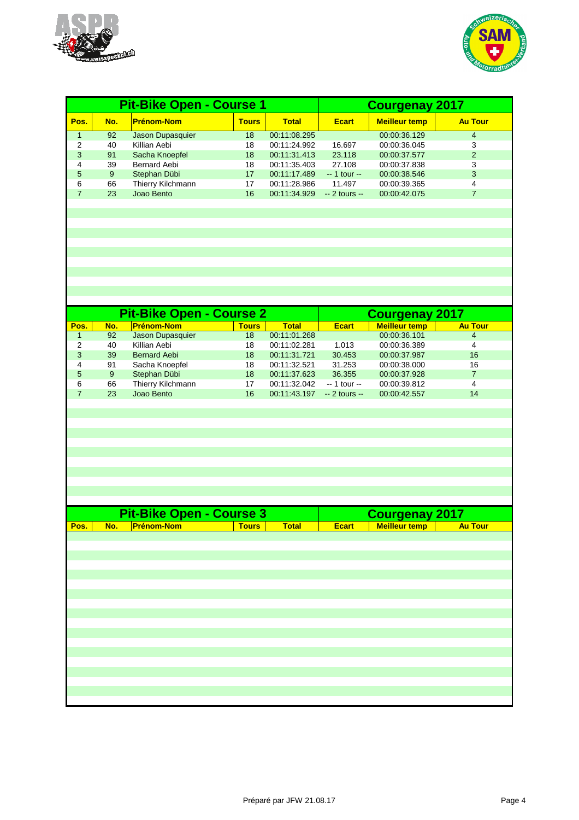



|      |     | <b>Pit-Bike Open - Course 1</b> |              | <b>Courgenay 2017</b> |                |                      |                |
|------|-----|---------------------------------|--------------|-----------------------|----------------|----------------------|----------------|
| Pos. | No. | <b>Prénom-Nom</b>               | <b>Tours</b> | <b>Total</b>          | <b>Ecart</b>   | <b>Meilleur temp</b> | <b>Au Tour</b> |
|      | 92  | Jason Dupasquier                | 18           | 00:11:08.295          |                | 00:00:36.129         | 4              |
| 2    | 40  | Killian Aebi                    | 18           | 00:11:24.992          | 16.697         | 00:00:36.045         | 3              |
| 3    | 91  | Sacha Knoepfel                  | 18           | 00:11:31.413          | 23.118         | 00:00:37.577         | $\overline{2}$ |
| 4    | 39  | <b>Bernard Aebi</b>             | 18           | 00:11:35.403          | 27.108         | 00:00:37.838         | 3              |
| 5    | 9   | Stephan Dübi                    | 17           | 00:11:17.489          | $-1$ tour $-$  | 00:00:38.546         | 3              |
| 6    | 66  | Thierry Kilchmann               | 17           | 00:11:28.986          | 11.497         | 00:00:39.365         | 4              |
|      | 23  | Joao Bento                      | 16           | 00:11:34.929          | $-2$ tours $-$ | 00:00:42.075         |                |
|      |     |                                 |              |                       |                |                      |                |

|      |     | <b>Pit-Bike Open - Course 2</b> | <b>Courgenay 2017</b> |              |                |                      |                |
|------|-----|---------------------------------|-----------------------|--------------|----------------|----------------------|----------------|
| Pos. | No. | <b>Prénom-Nom</b>               | <b>Tours</b>          | <b>Total</b> | <b>Ecart</b>   | <b>Meilleur temp</b> | <b>Au Tour</b> |
|      | 92  | Jason Dupasquier                | 18                    | 00:11:01.268 |                | 00:00:36.101         | 4              |
| 2    | 40  | Killian Aebi                    | 18                    | 00:11:02.281 | 1.013          | 00:00:36.389         | 4              |
| 3    | 39  | <b>Bernard Aebi</b>             | 18                    | 00:11:31.721 | 30.453         | 00:00:37.987         | 16             |
| 4    | 91  | Sacha Knoepfel                  | 18                    | 00:11:32.521 | 31.253         | 00:00:38.000         | 16             |
| 5    | 9   | Stephan Dübi                    | 18                    | 00:11:37.623 | 36.355         | 00:00:37.928         |                |
| 6    | 66  | Thierry Kilchmann               | 17                    | 00:11:32.042 | $-1$ tour $-$  | 00:00:39.812         | 4              |
|      | 23  | Joao Bento                      | 16                    | 00:11:43.197 | $-2$ tours $-$ | 00:00:42.557         | 14             |
|      |     |                                 |                       |              |                |                      |                |

| <b>Pit-Bike Open - Course 3</b> |            |                   |              |              |              | <b>Courgenay 2017</b> |                |
|---------------------------------|------------|-------------------|--------------|--------------|--------------|-----------------------|----------------|
| Pos.                            | <b>No.</b> | <b>Prénom-Nom</b> | <b>Tours</b> | <b>Total</b> | <b>Ecart</b> | <b>Meilleur temp</b>  | <b>Au Tour</b> |
|                                 |            |                   |              |              |              |                       |                |